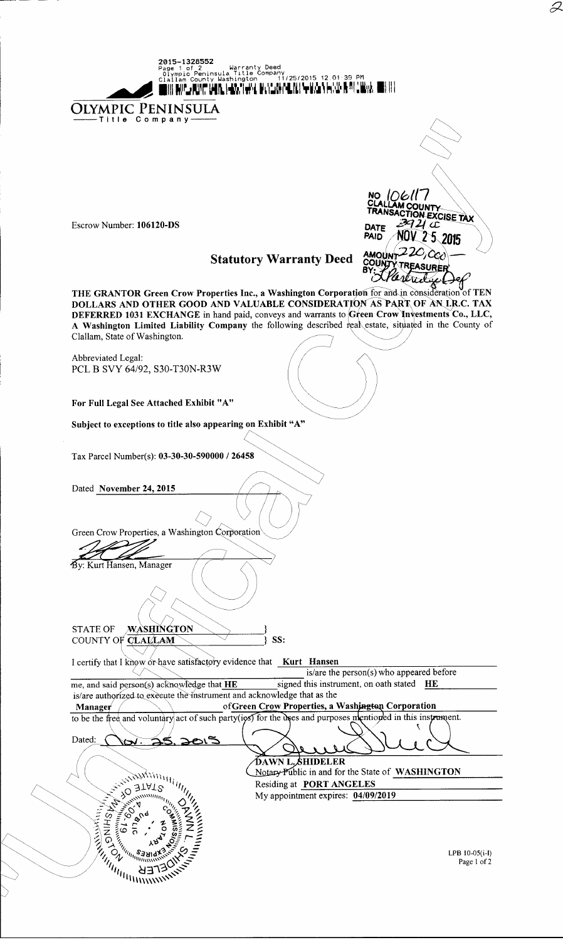OLYMPIC PENINSULA **NO** .IO611 OUNTY **RANC** CTION EXCISE TAX Escrow Number: 106120-DS 721 cc DATE **NOV 25 2015 PAID** 220,000 AMOUNT **Statutory Warranty Deed TREASURER** THE GRANTOR Green Crow Properties Inc., a Washington Corporation for and in consideration of TEN DOLLARS AND OTHER GOOD AND VALUABLE CONSIDERATION AS PART OF AN LIR.C. TAX DEFERRED 1031 EXCHANGE in hand paid, conveys and warrants to Green Crow Investments Co., LLC, A Washington Limited Liability Company the following described real estate, situated in the County of Clallam, State of Washington. **Abbreviated Legal:** PCL B SVY 64/92, S30-T30N-R3W For Full Legal See Attached Exhibit "A" Subject to exceptions to title also appearing on Exhibit "A" Tax Parcel Number(s): 03-30-30-590000 / 26458 Dated November 24, 2015 Green Crow Properties, a Washington Corporation By: Kurt Hansen, Manager <u>washing</u>ton **STATE OF** COUNTY OF CLALLAM SS: I certify that I know or have satisfactory evidence that Kurt Hansen is/are the person(s) who appeared before signed this instrument, on oath stated HE me, and said person(s) acknowledge that HE is/are authorized to execute the instrument and acknowledge that as the of Green Crow Properties, a Washington Corporation Manager  $\sqrt{}$ to be the free and voluntary act of such party(ies) for the uses and purposes mentioned in this instrument. Dated: ≥క  $280$ **DAWN L. SHIDELER STATS IIII** Notary Public in and for the State of WASHINGTON **Antistration** Residing at PORT ANGELES My appointment expires: 04/09/2019  $75.55$ **HISHING SS ARTICAL SERVICE SERVICE SCRIPTION ASSESSMENT CARRIED SCRIPTION OF SALES AND STRAKE STATES.**  $\tilde{\mathcal{P}}_U$ LPB  $10-05(i-1)$ Page 1 of 2

**2015–1328552**<br>Page 1 of 2<br>Olympic Peninsula<br>Clallam County Use

Warranty Deed<br>Title Company 11/25/2015 12.01:39 PM<br>Title 11/25/2015 11.1.4.4.5.1.1

OUR AN CARDIO DAILY HAN THAT MANAGEMENT WHAT THAT A WATER THAT OUR ART RET

 $\varnothing$